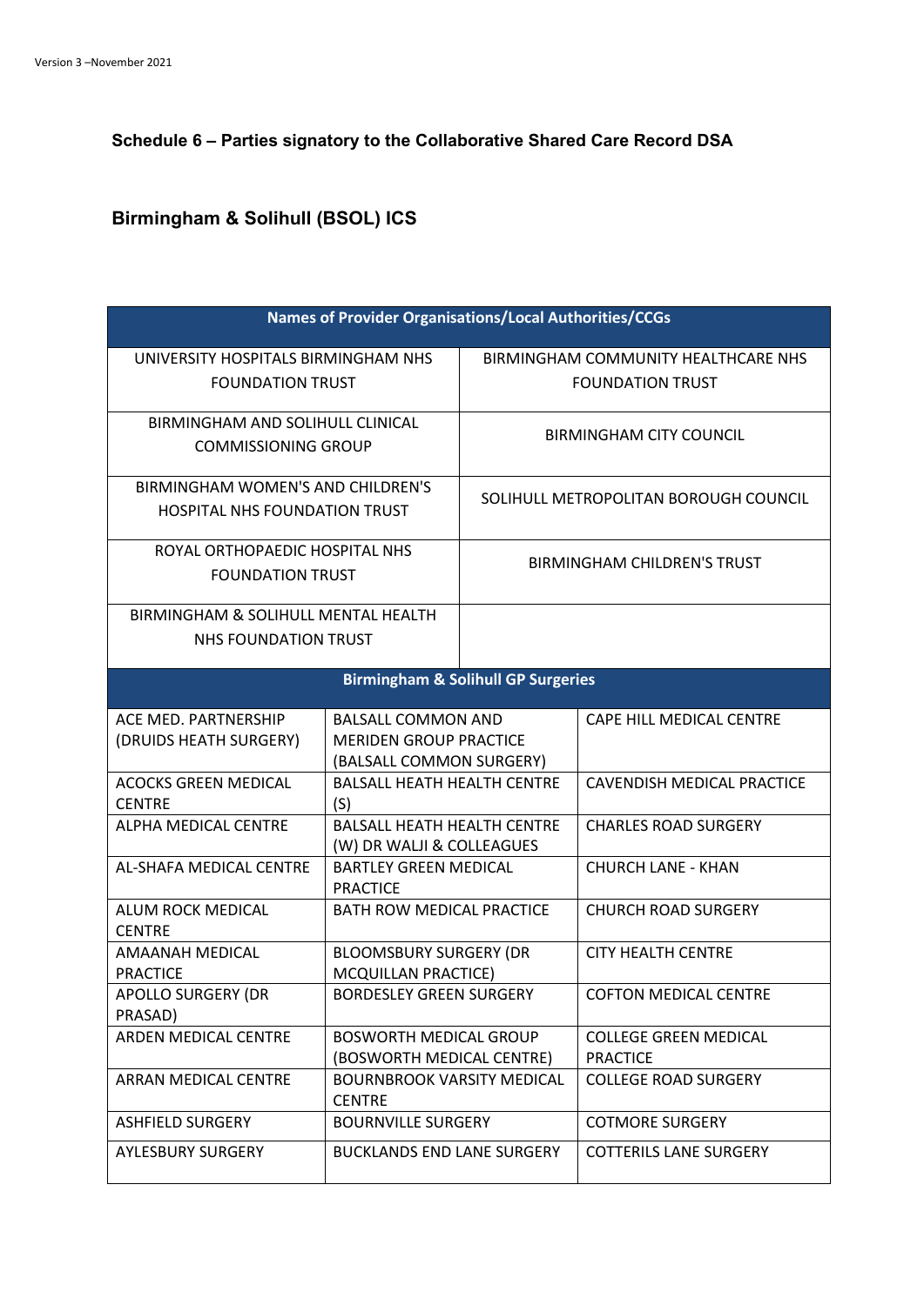**Schedule 6 – Parties signatory to the Collaborative Shared Care Record DSA**

## **Birmingham & Solihull (BSOL) ICS**

| <b>Names of Provider Organisations/Local Authorities/CCGs</b> |                                                                 |                                       |                                                 |
|---------------------------------------------------------------|-----------------------------------------------------------------|---------------------------------------|-------------------------------------------------|
| UNIVERSITY HOSPITALS BIRMINGHAM NHS                           |                                                                 | BIRMINGHAM COMMUNITY HEALTHCARE NHS   |                                                 |
| <b>FOUNDATION TRUST</b>                                       |                                                                 | <b>FOUNDATION TRUST</b>               |                                                 |
| BIRMINGHAM AND SOLIHULL CLINICAL                              |                                                                 |                                       | <b>BIRMINGHAM CITY COUNCIL</b>                  |
| <b>COMMISSIONING GROUP</b>                                    |                                                                 |                                       |                                                 |
| <b>BIRMINGHAM WOMEN'S AND CHILDREN'S</b>                      |                                                                 | SOLIHULL METROPOLITAN BOROUGH COUNCIL |                                                 |
| <b>HOSPITAL NHS FOUNDATION TRUST</b>                          |                                                                 |                                       |                                                 |
| ROYAL ORTHOPAEDIC HOSPITAL NHS                                |                                                                 |                                       |                                                 |
| <b>FOUNDATION TRUST</b>                                       |                                                                 | <b>BIRMINGHAM CHILDREN'S TRUST</b>    |                                                 |
| BIRMINGHAM & SOLIHULL MENTAL HEALTH                           |                                                                 |                                       |                                                 |
| <b>NHS FOUNDATION TRUST</b>                                   |                                                                 |                                       |                                                 |
| <b>Birmingham &amp; Solihull GP Surgeries</b>                 |                                                                 |                                       |                                                 |
| ACE MED. PARTNERSHIP                                          | <b>BALSALL COMMON AND</b>                                       |                                       | CAPE HILL MEDICAL CENTRE                        |
| (DRUIDS HEATH SURGERY)                                        | <b>MERIDEN GROUP PRACTICE</b>                                   |                                       |                                                 |
|                                                               | (BALSALL COMMON SURGERY)                                        |                                       |                                                 |
| <b>ACOCKS GREEN MEDICAL</b>                                   | <b>BALSALL HEATH HEALTH CENTRE</b>                              |                                       | <b>CAVENDISH MEDICAL PRACTICE</b>               |
| <b>CENTRE</b>                                                 | (S)                                                             |                                       |                                                 |
| ALPHA MEDICAL CENTRE                                          | <b>BALSALL HEATH HEALTH CENTRE</b><br>(W) DR WALJI & COLLEAGUES |                                       | <b>CHARLES ROAD SURGERY</b>                     |
| AL-SHAFA MEDICAL CENTRE                                       | <b>BARTLEY GREEN MEDICAL</b><br><b>PRACTICE</b>                 |                                       | <b>CHURCH LANE - KHAN</b>                       |
| ALUM ROCK MEDICAL<br><b>CENTRE</b>                            | <b>BATH ROW MEDICAL PRACTICE</b>                                |                                       | <b>CHURCH ROAD SURGERY</b>                      |
| <b>AMAANAH MEDICAL</b>                                        | <b>BLOOMSBURY SURGERY (DR</b>                                   |                                       | <b>CITY HEALTH CENTRE</b>                       |
| <b>PRACTICE</b>                                               | MCQUILLAN PRACTICE)                                             |                                       |                                                 |
| <b>APOLLO SURGERY (DR</b>                                     | <b>BORDESLEY GREEN SURGERY</b>                                  |                                       | <b>COFTON MEDICAL CENTRE</b>                    |
| PRASAD)                                                       |                                                                 |                                       |                                                 |
| ARDEN MEDICAL CENTRE                                          | <b>BOSWORTH MEDICAL GROUP</b><br>(BOSWORTH MEDICAL CENTRE)      |                                       | <b>COLLEGE GREEN MEDICAL</b><br><b>PRACTICE</b> |
| ARRAN MEDICAL CENTRE                                          | <b>BOURNBROOK VARSITY MEDICAL</b><br><b>CENTRE</b>              |                                       | <b>COLLEGE ROAD SURGERY</b>                     |
| <b>ASHFIELD SURGERY</b>                                       | <b>BOURNVILLE SURGERY</b>                                       |                                       | <b>COTMORE SURGERY</b>                          |
| <b>AYLESBURY SURGERY</b>                                      | <b>BUCKLANDS END LANE SURGERY</b>                               |                                       | <b>COTTERILS LANE SURGERY</b>                   |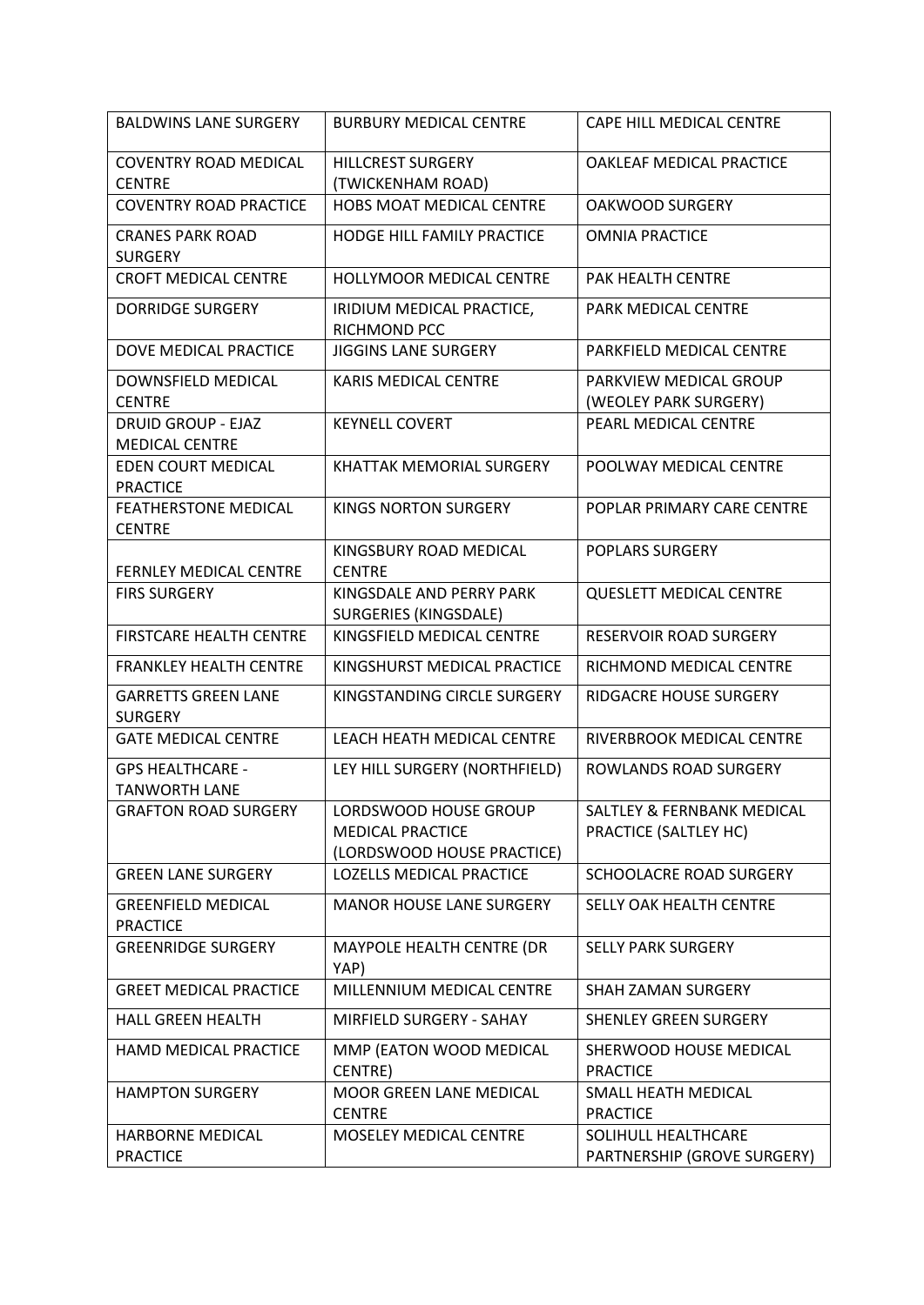| <b>BALDWINS LANE SURGERY</b>                       | <b>BURBURY MEDICAL CENTRE</b>                                                  | CAPE HILL MEDICAL CENTRE                                       |
|----------------------------------------------------|--------------------------------------------------------------------------------|----------------------------------------------------------------|
| <b>COVENTRY ROAD MEDICAL</b><br><b>CENTRE</b>      | <b>HILLCREST SURGERY</b><br>(TWICKENHAM ROAD)                                  | OAKLEAF MEDICAL PRACTICE                                       |
| <b>COVENTRY ROAD PRACTICE</b>                      | HOBS MOAT MEDICAL CENTRE                                                       | <b>OAKWOOD SURGERY</b>                                         |
| <b>CRANES PARK ROAD</b><br><b>SURGERY</b>          | <b>HODGE HILL FAMILY PRACTICE</b>                                              | <b>OMNIA PRACTICE</b>                                          |
| <b>CROFT MEDICAL CENTRE</b>                        | <b>HOLLYMOOR MEDICAL CENTRE</b>                                                | PAK HEALTH CENTRE                                              |
| <b>DORRIDGE SURGERY</b>                            | IRIDIUM MEDICAL PRACTICE,<br>RICHMOND PCC                                      | PARK MEDICAL CENTRE                                            |
| DOVE MEDICAL PRACTICE                              | <b>JIGGINS LANE SURGERY</b>                                                    | PARKFIELD MEDICAL CENTRE                                       |
| DOWNSFIELD MEDICAL<br><b>CENTRE</b>                | <b>KARIS MEDICAL CENTRE</b>                                                    | PARKVIEW MEDICAL GROUP<br>(WEOLEY PARK SURGERY)                |
| <b>DRUID GROUP - EJAZ</b><br><b>MEDICAL CENTRE</b> | <b>KEYNELL COVERT</b>                                                          | PEARL MEDICAL CENTRE                                           |
| EDEN COURT MEDICAL<br><b>PRACTICE</b>              | <b>KHATTAK MEMORIAL SURGERY</b>                                                | POOLWAY MEDICAL CENTRE                                         |
| <b>FEATHERSTONE MEDICAL</b><br><b>CENTRE</b>       | <b>KINGS NORTON SURGERY</b>                                                    | POPLAR PRIMARY CARE CENTRE                                     |
| FERNLEY MEDICAL CENTRE                             | KINGSBURY ROAD MEDICAL<br><b>CENTRE</b>                                        | <b>POPLARS SURGERY</b>                                         |
| <b>FIRS SURGERY</b>                                | KINGSDALE AND PERRY PARK<br><b>SURGERIES (KINGSDALE)</b>                       | <b>QUESLETT MEDICAL CENTRE</b>                                 |
| FIRSTCARE HEALTH CENTRE                            | KINGSFIELD MEDICAL CENTRE                                                      | RESERVOIR ROAD SURGERY                                         |
| <b>FRANKLEY HEALTH CENTRE</b>                      | KINGSHURST MEDICAL PRACTICE                                                    | RICHMOND MEDICAL CENTRE                                        |
| <b>GARRETTS GREEN LANE</b><br><b>SURGERY</b>       | KINGSTANDING CIRCLE SURGERY                                                    | RIDGACRE HOUSE SURGERY                                         |
| <b>GATE MEDICAL CENTRE</b>                         | LEACH HEATH MEDICAL CENTRE                                                     | RIVERBROOK MEDICAL CENTRE                                      |
| <b>GPS HEALTHCARE -</b><br><b>TANWORTH LANE</b>    | LEY HILL SURGERY (NORTHFIELD)                                                  | <b>ROWLANDS ROAD SURGERY</b>                                   |
| <b>GRAFTON ROAD SURGERY</b>                        | LORDSWOOD HOUSE GROUP<br><b>MEDICAL PRACTICE</b><br>(LORDSWOOD HOUSE PRACTICE) | <b>SALTLEY &amp; FERNBANK MEDICAL</b><br>PRACTICE (SALTLEY HC) |
| <b>GREEN LANE SURGERY</b>                          | <b>LOZELLS MEDICAL PRACTICE</b>                                                | SCHOOLACRE ROAD SURGERY                                        |
| <b>GREENFIELD MEDICAL</b><br><b>PRACTICE</b>       | <b>MANOR HOUSE LANE SURGERY</b>                                                | SELLY OAK HEALTH CENTRE                                        |
| <b>GREENRIDGE SURGERY</b>                          | MAYPOLE HEALTH CENTRE (DR<br>YAP)                                              | <b>SELLY PARK SURGERY</b>                                      |
| <b>GREET MEDICAL PRACTICE</b>                      | MILLENNIUM MEDICAL CENTRE                                                      | <b>SHAH ZAMAN SURGERY</b>                                      |
| <b>HALL GREEN HEALTH</b>                           | MIRFIELD SURGERY - SAHAY                                                       | <b>SHENLEY GREEN SURGERY</b>                                   |
| HAMD MEDICAL PRACTICE                              | MMP (EATON WOOD MEDICAL<br>CENTRE)                                             | SHERWOOD HOUSE MEDICAL<br><b>PRACTICE</b>                      |
| <b>HAMPTON SURGERY</b>                             | MOOR GREEN LANE MEDICAL<br><b>CENTRE</b>                                       | SMALL HEATH MEDICAL<br><b>PRACTICE</b>                         |
| HARBORNE MEDICAL<br><b>PRACTICE</b>                | MOSELEY MEDICAL CENTRE                                                         | SOLIHULL HEALTHCARE<br>PARTNERSHIP (GROVE SURGERY)             |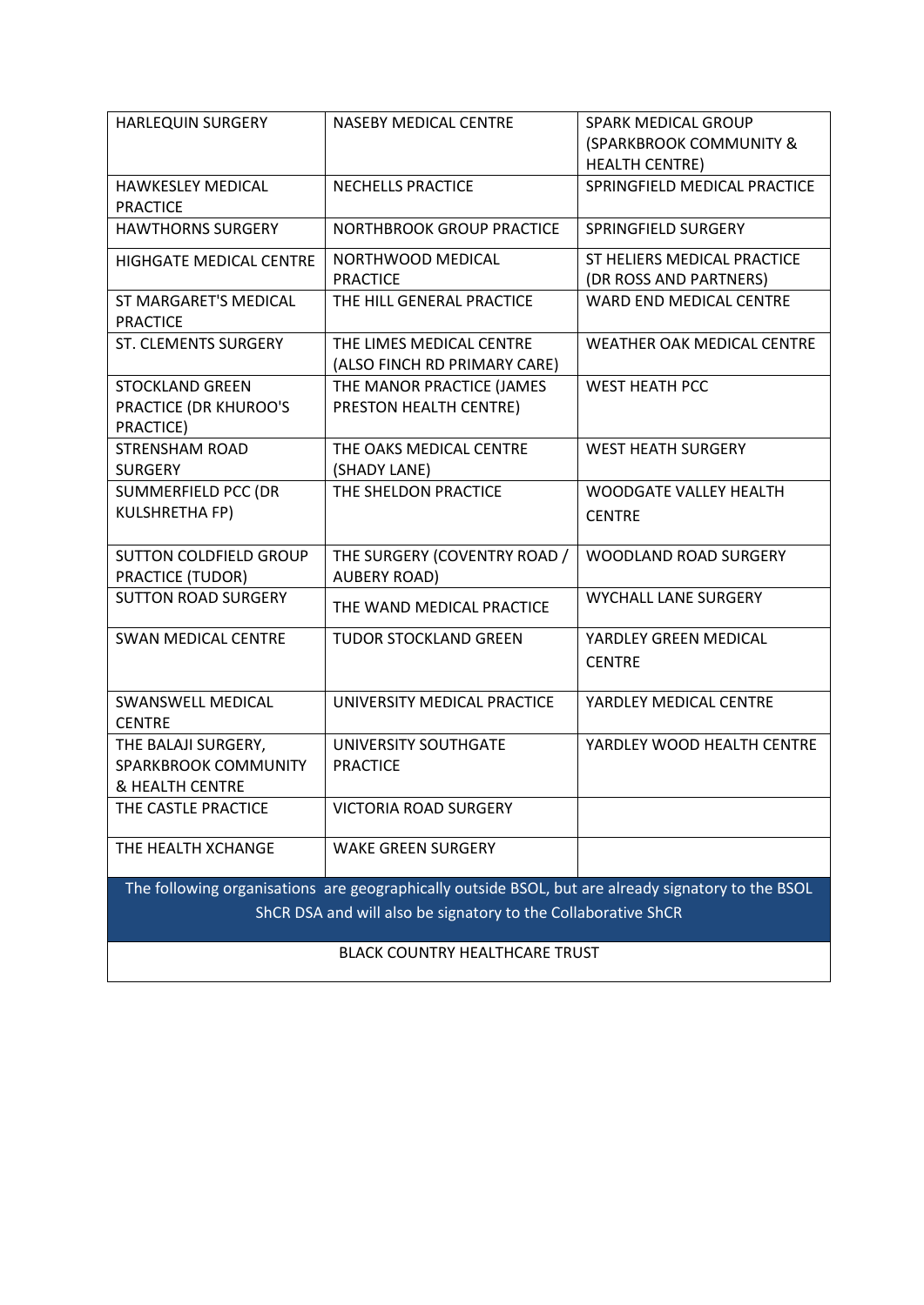| <b>HARLEQUIN SURGERY</b>                                                                                                                                            | <b>NASEBY MEDICAL CENTRE</b>                             | SPARK MEDICAL GROUP<br>(SPARKBROOK COMMUNITY &<br><b>HEALTH CENTRE)</b> |
|---------------------------------------------------------------------------------------------------------------------------------------------------------------------|----------------------------------------------------------|-------------------------------------------------------------------------|
| <b>HAWKESLEY MEDICAL</b><br><b>PRACTICE</b>                                                                                                                         | NECHELLS PRACTICE                                        | SPRINGFIELD MEDICAL PRACTICE                                            |
| <b>HAWTHORNS SURGERY</b>                                                                                                                                            | <b>NORTHBROOK GROUP PRACTICE</b>                         | SPRINGFIELD SURGERY                                                     |
| <b>HIGHGATE MEDICAL CENTRE</b>                                                                                                                                      | NORTHWOOD MEDICAL<br><b>PRACTICE</b>                     | ST HELIERS MEDICAL PRACTICE<br>(DR ROSS AND PARTNERS)                   |
| ST MARGARET'S MEDICAL<br><b>PRACTICE</b>                                                                                                                            | THE HILL GENERAL PRACTICE                                | WARD END MEDICAL CENTRE                                                 |
| ST. CLEMENTS SURGERY                                                                                                                                                | THE LIMES MEDICAL CENTRE<br>(ALSO FINCH RD PRIMARY CARE) | WEATHER OAK MEDICAL CENTRE                                              |
| <b>STOCKLAND GREEN</b><br>PRACTICE (DR KHUROO'S<br>PRACTICE)                                                                                                        | THE MANOR PRACTICE (JAMES<br>PRESTON HEALTH CENTRE)      | <b>WEST HEATH PCC</b>                                                   |
| <b>STRENSHAM ROAD</b><br><b>SURGERY</b>                                                                                                                             | THE OAKS MEDICAL CENTRE<br>(SHADY LANE)                  | <b>WEST HEATH SURGERY</b>                                               |
| SUMMERFIELD PCC (DR<br><b>KULSHRETHA FP)</b>                                                                                                                        | THE SHELDON PRACTICE                                     | <b>WOODGATE VALLEY HEALTH</b><br><b>CENTRE</b>                          |
| <b>SUTTON COLDFIELD GROUP</b><br>PRACTICE (TUDOR)                                                                                                                   | THE SURGERY (COVENTRY ROAD /<br><b>AUBERY ROAD)</b>      | <b>WOODLAND ROAD SURGERY</b>                                            |
| <b>SUTTON ROAD SURGERY</b>                                                                                                                                          | THE WAND MEDICAL PRACTICE                                | <b>WYCHALL LANE SURGERY</b>                                             |
| <b>SWAN MEDICAL CENTRE</b>                                                                                                                                          | <b>TUDOR STOCKLAND GREEN</b>                             | YARDLEY GREEN MEDICAL<br><b>CENTRE</b>                                  |
| SWANSWELL MEDICAL<br><b>CENTRE</b>                                                                                                                                  | UNIVERSITY MEDICAL PRACTICE                              | YARDLEY MEDICAL CENTRE                                                  |
| THE BALAJI SURGERY,<br>SPARKBROOK COMMUNITY<br>& HEALTH CENTRE                                                                                                      | UNIVERSITY SOUTHGATE<br><b>PRACTICE</b>                  | YARDLEY WOOD HEALTH CENTRE                                              |
| THE CASTLE PRACTICE                                                                                                                                                 | VICTORIA ROAD SURGERY                                    |                                                                         |
| THE HEALTH XCHANGE                                                                                                                                                  | <b>WAKE GREEN SURGERY</b>                                |                                                                         |
| The following organisations are geographically outside BSOL, but are already signatory to the BSOL<br>ShCR DSA and will also be signatory to the Collaborative ShCR |                                                          |                                                                         |
| <b>BLACK COUNTRY HEALTHCARE TRUST</b>                                                                                                                               |                                                          |                                                                         |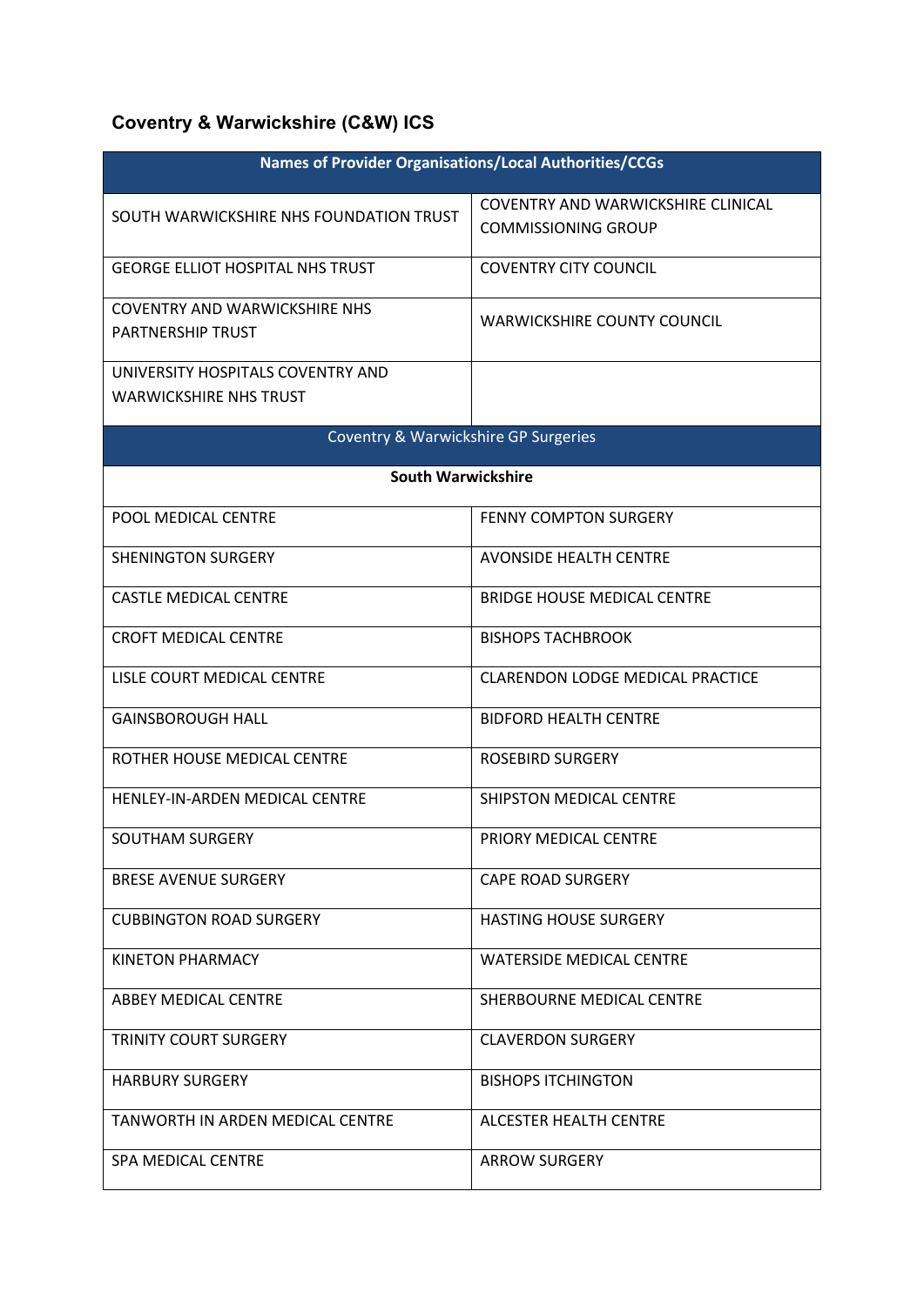## **Coventry & Warwickshire (C&W) ICS**

| <b>Names of Provider Organisations/Local Authorities/CCGs</b> |                                         |  |
|---------------------------------------------------------------|-----------------------------------------|--|
| SOUTH WARWICKSHIRE NHS FOUNDATION TRUST                       | COVENTRY AND WARWICKSHIRE CLINICAL      |  |
|                                                               | <b>COMMISSIONING GROUP</b>              |  |
| <b>GEORGE ELLIOT HOSPITAL NHS TRUST</b>                       | <b>COVENTRY CITY COUNCIL</b>            |  |
| <b>COVENTRY AND WARWICKSHIRE NHS</b>                          | <b>WARWICKSHIRE COUNTY COUNCIL</b>      |  |
| <b>PARTNERSHIP TRUST</b>                                      |                                         |  |
| UNIVERSITY HOSPITALS COVENTRY AND                             |                                         |  |
| <b>WARWICKSHIRE NHS TRUST</b>                                 |                                         |  |
| <b>Coventry &amp; Warwickshire GP Surgeries</b>               |                                         |  |
| <b>South Warwickshire</b>                                     |                                         |  |
| POOL MEDICAL CENTRE                                           | <b>FENNY COMPTON SURGERY</b>            |  |
| <b>SHENINGTON SURGERY</b>                                     | <b>AVONSIDE HEALTH CENTRE</b>           |  |
| <b>CASTLE MEDICAL CENTRE</b>                                  | <b>BRIDGE HOUSE MEDICAL CENTRE</b>      |  |
| <b>CROFT MEDICAL CENTRE</b>                                   | <b>BISHOPS TACHBROOK</b>                |  |
| LISLE COURT MEDICAL CENTRE                                    | <b>CLARENDON LODGE MEDICAL PRACTICE</b> |  |
| <b>GAINSBOROUGH HALL</b>                                      | <b>BIDFORD HEALTH CENTRE</b>            |  |
| ROTHER HOUSE MEDICAL CENTRE                                   | <b>ROSEBIRD SURGERY</b>                 |  |
| HENLEY-IN-ARDEN MEDICAL CENTRE                                | SHIPSTON MEDICAL CENTRE                 |  |
| SOUTHAM SURGERY                                               | PRIORY MEDICAL CENTRE                   |  |
| <b>BRESE AVENUE SURGERY</b>                                   | <b>CAPE ROAD SURGERY</b>                |  |
| <b>CUBBINGTON ROAD SURGERY</b>                                | <b>HASTING HOUSE SURGERY</b>            |  |
| KINETON PHARMACY                                              | <b>WATERSIDE MEDICAL CENTRE</b>         |  |
| ABBEY MEDICAL CENTRE                                          | SHERBOURNE MEDICAL CENTRE               |  |
| <b>TRINITY COURT SURGERY</b>                                  | <b>CLAVERDON SURGERY</b>                |  |
| <b>HARBURY SURGERY</b>                                        | <b>BISHOPS ITCHINGTON</b>               |  |
| TANWORTH IN ARDEN MEDICAL CENTRE                              | ALCESTER HEALTH CENTRE                  |  |
| <b>SPA MEDICAL CENTRE</b>                                     | <b>ARROW SURGERY</b>                    |  |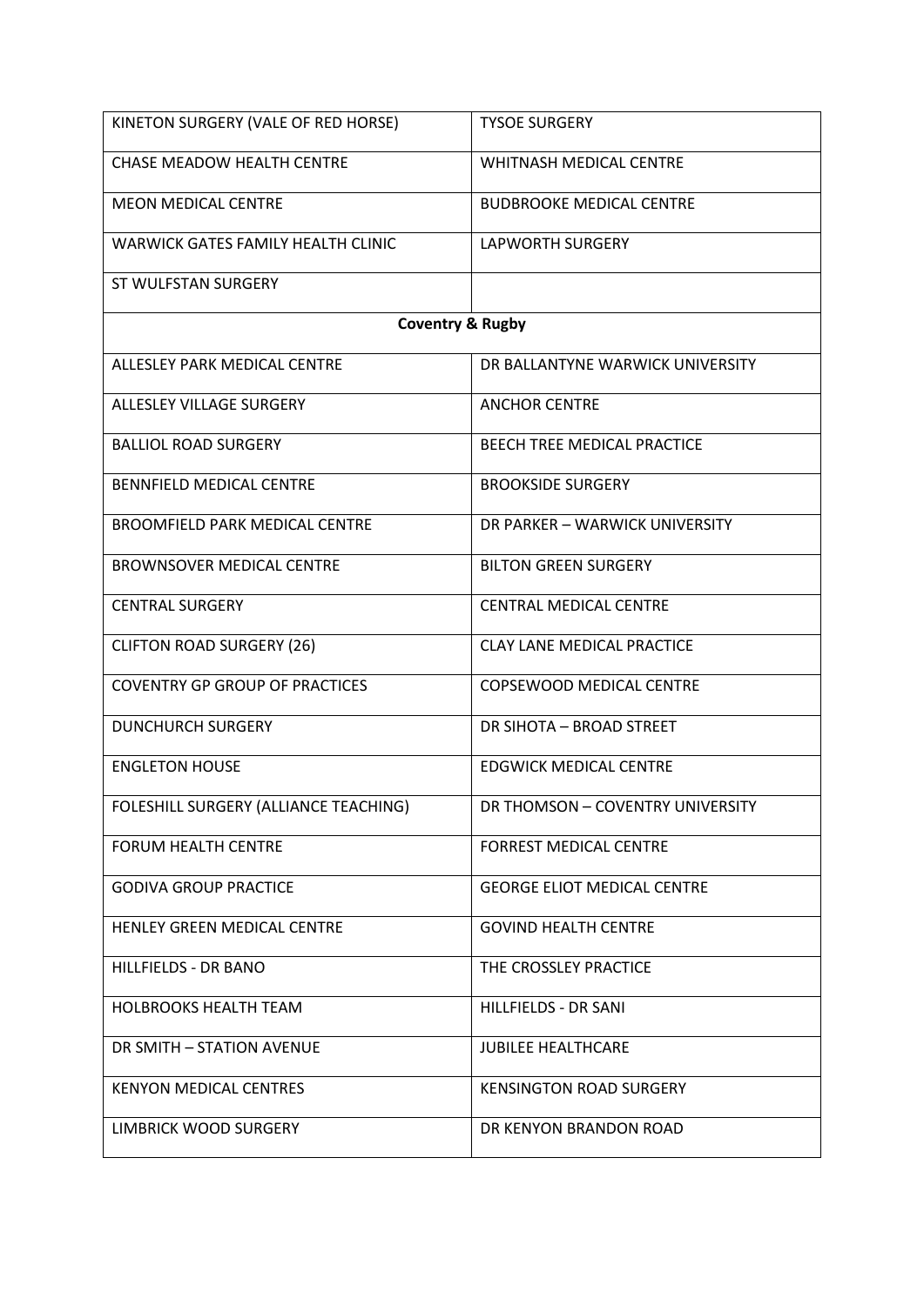| KINETON SURGERY (VALE OF RED HORSE)   | <b>TYSOE SURGERY</b>               |  |
|---------------------------------------|------------------------------------|--|
| <b>CHASE MEADOW HEALTH CENTRE</b>     | WHITNASH MEDICAL CENTRE            |  |
| <b>MEON MEDICAL CENTRE</b>            | <b>BUDBROOKE MEDICAL CENTRE</b>    |  |
| WARWICK GATES FAMILY HEALTH CLINIC    | <b>LAPWORTH SURGERY</b>            |  |
| ST WULFSTAN SURGERY                   |                                    |  |
| <b>Coventry &amp; Rugby</b>           |                                    |  |
| ALLESLEY PARK MEDICAL CENTRE          | DR BALLANTYNE WARWICK UNIVERSITY   |  |
| ALLESLEY VILLAGE SURGERY              | <b>ANCHOR CENTRE</b>               |  |
| <b>BALLIOL ROAD SURGERY</b>           | <b>BEECH TREE MEDICAL PRACTICE</b> |  |
| BENNFIELD MEDICAL CENTRE              | <b>BROOKSIDE SURGERY</b>           |  |
| <b>BROOMFIELD PARK MEDICAL CENTRE</b> | DR PARKER - WARWICK UNIVERSITY     |  |
| <b>BROWNSOVER MEDICAL CENTRE</b>      | <b>BILTON GREEN SURGERY</b>        |  |
| <b>CENTRAL SURGERY</b>                | <b>CENTRAL MEDICAL CENTRE</b>      |  |
| <b>CLIFTON ROAD SURGERY (26)</b>      | <b>CLAY LANE MEDICAL PRACTICE</b>  |  |
| <b>COVENTRY GP GROUP OF PRACTICES</b> | COPSEWOOD MEDICAL CENTRE           |  |
| <b>DUNCHURCH SURGERY</b>              | DR SIHOTA - BROAD STREET           |  |
| <b>ENGLETON HOUSE</b>                 | <b>EDGWICK MEDICAL CENTRE</b>      |  |
| FOLESHILL SURGERY (ALLIANCE TEACHING) | DR THOMSON - COVENTRY UNIVERSITY   |  |
| <b>FORUM HEALTH CENTRE</b>            | <b>FORREST MEDICAL CENTRE</b>      |  |
| <b>GODIVA GROUP PRACTICE</b>          | <b>GEORGE ELIOT MEDICAL CENTRE</b> |  |
| HENLEY GREEN MEDICAL CENTRE           | <b>GOVIND HEALTH CENTRE</b>        |  |
| HILLFIELDS - DR BANO                  | THE CROSSLEY PRACTICE              |  |
| <b>HOLBROOKS HEALTH TEAM</b>          | HILLFIELDS - DR SANI               |  |
| DR SMITH - STATION AVENUE             | <b>JUBILEE HEALTHCARE</b>          |  |
| <b>KENYON MEDICAL CENTRES</b>         | <b>KENSINGTON ROAD SURGERY</b>     |  |
| LIMBRICK WOOD SURGERY                 | DR KENYON BRANDON ROAD             |  |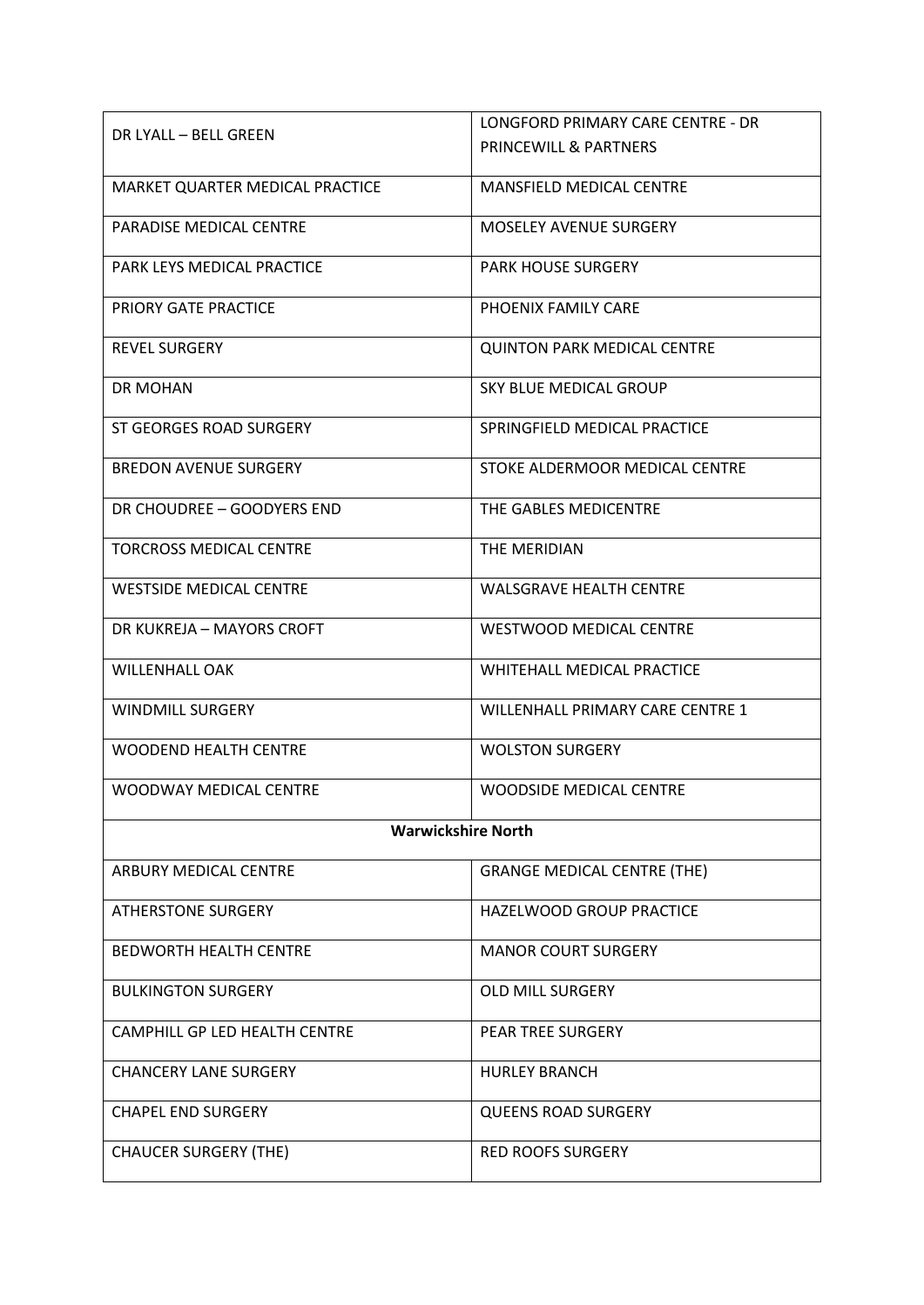|                                 | LONGFORD PRIMARY CARE CENTRE - DR  |  |
|---------------------------------|------------------------------------|--|
| DR LYALL – BELL GREEN           | <b>PRINCEWILL &amp; PARTNERS</b>   |  |
| MARKET QUARTER MEDICAL PRACTICE | <b>MANSFIELD MEDICAL CENTRE</b>    |  |
|                                 |                                    |  |
| <b>PARADISE MEDICAL CENTRE</b>  | <b>MOSELEY AVENUE SURGERY</b>      |  |
| PARK LEYS MEDICAL PRACTICE      | <b>PARK HOUSE SURGERY</b>          |  |
|                                 |                                    |  |
| PRIORY GATE PRACTICE            | PHOENIX FAMILY CARE                |  |
| <b>REVEL SURGERY</b>            | <b>QUINTON PARK MEDICAL CENTRE</b> |  |
| DR MOHAN                        | SKY BLUE MEDICAL GROUP             |  |
|                                 |                                    |  |
| ST GEORGES ROAD SURGERY         | SPRINGFIELD MEDICAL PRACTICE       |  |
| <b>BREDON AVENUE SURGERY</b>    | STOKE ALDERMOOR MEDICAL CENTRE     |  |
| DR CHOUDREE - GOODYERS END      | THE GABLES MEDICENTRE              |  |
|                                 |                                    |  |
| <b>TORCROSS MEDICAL CENTRE</b>  | THE MERIDIAN                       |  |
| <b>WESTSIDE MEDICAL CENTRE</b>  | <b>WALSGRAVE HEALTH CENTRE</b>     |  |
| DR KUKREJA - MAYORS CROFT       | WESTWOOD MEDICAL CENTRE            |  |
| <b>WILLENHALL OAK</b>           | WHITEHALL MEDICAL PRACTICE         |  |
| <b>WINDMILL SURGERY</b>         | WILLENHALL PRIMARY CARE CENTRE 1   |  |
| <b>WOODEND HEALTH CENTRE</b>    | <b>WOLSTON SURGERY</b>             |  |
| WOODWAY MEDICAL CENTRE          | <b>WOODSIDE MEDICAL CENTRE</b>     |  |
| <b>Warwickshire North</b>       |                                    |  |
| ARBURY MEDICAL CENTRE           | <b>GRANGE MEDICAL CENTRE (THE)</b> |  |
| <b>ATHERSTONE SURGERY</b>       | HAZELWOOD GROUP PRACTICE           |  |
|                                 |                                    |  |
| <b>BEDWORTH HEALTH CENTRE</b>   | <b>MANOR COURT SURGERY</b>         |  |
| <b>BULKINGTON SURGERY</b>       | <b>OLD MILL SURGERY</b>            |  |
| CAMPHILL GP LED HEALTH CENTRE   | <b>PEAR TREE SURGERY</b>           |  |
| <b>CHANCERY LANE SURGERY</b>    | <b>HURLEY BRANCH</b>               |  |
|                                 |                                    |  |
| <b>CHAPEL END SURGERY</b>       | <b>QUEENS ROAD SURGERY</b>         |  |
| <b>CHAUCER SURGERY (THE)</b>    | <b>RED ROOFS SURGERY</b>           |  |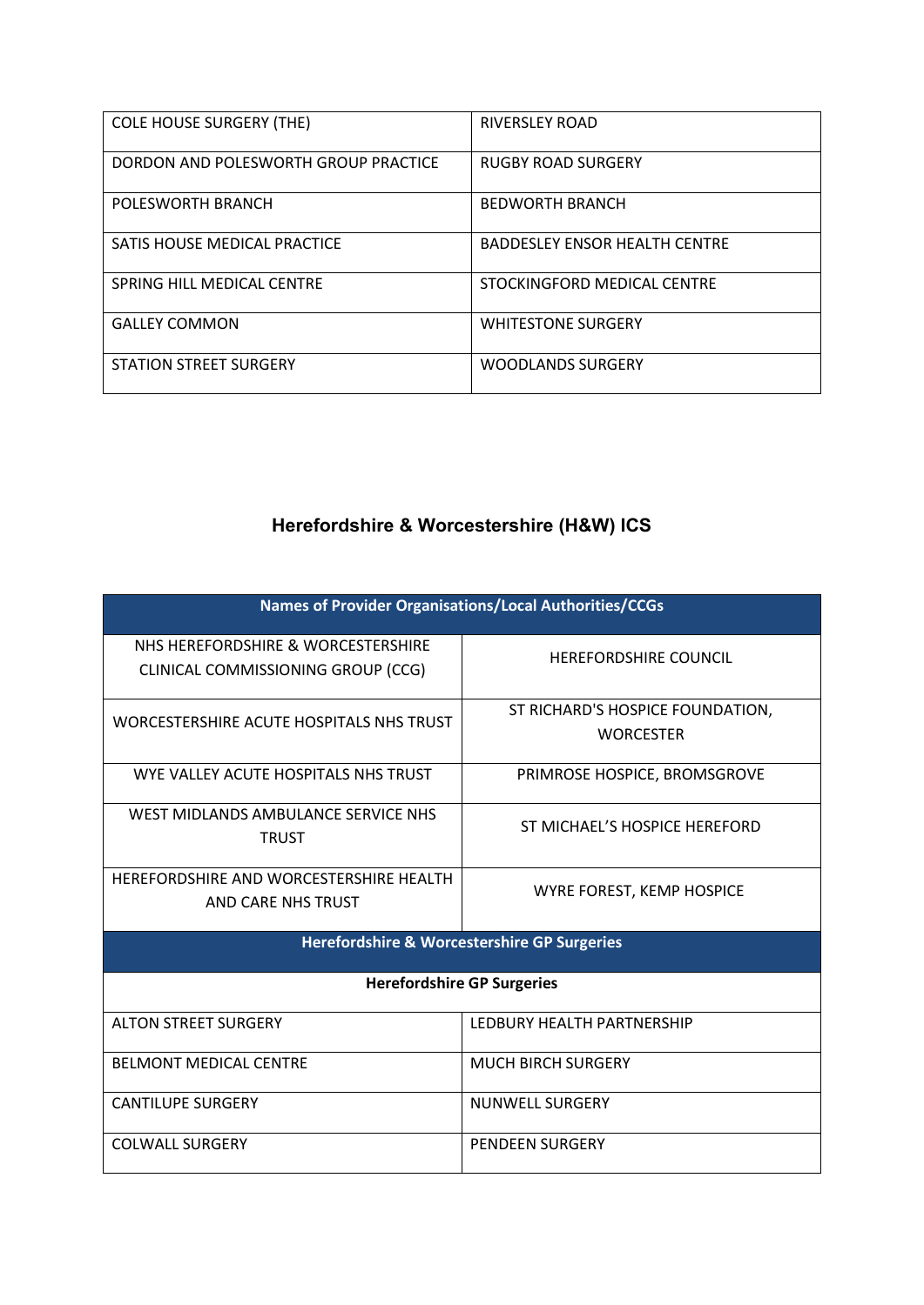| <b>COLE HOUSE SURGERY (THE)</b>      | <b>RIVERSLEY ROAD</b>                |
|--------------------------------------|--------------------------------------|
| DORDON AND POLESWORTH GROUP PRACTICE | <b>RUGBY ROAD SURGERY</b>            |
| POLESWORTH BRANCH                    | <b>BEDWORTH BRANCH</b>               |
| SATIS HOUSE MEDICAL PRACTICE         | <b>BADDESLEY ENSOR HEALTH CENTRE</b> |
| SPRING HILL MEDICAL CENTRE           | STOCKINGFORD MEDICAL CENTRE          |
| <b>GALLEY COMMON</b>                 | <b>WHITESTONE SURGERY</b>            |
| <b>STATION STREET SURGERY</b>        | <b>WOODLANDS SURGERY</b>             |

## **Herefordshire & Worcestershire (H&W) ICS**

| Names of Provider Organisations/Local Authorities/CCGs                   |                                                      |  |
|--------------------------------------------------------------------------|------------------------------------------------------|--|
| NHS HEREFORDSHIRE & WORCESTERSHIRE<br>CLINICAL COMMISSIONING GROUP (CCG) | <b>HEREFORDSHIRE COUNCIL</b>                         |  |
| WORCESTERSHIRE ACUTE HOSPITALS NHS TRUST                                 | ST RICHARD'S HOSPICE FOUNDATION,<br><b>WORCESTER</b> |  |
| WYE VALLEY ACUTE HOSPITALS NHS TRUST                                     | PRIMROSE HOSPICE, BROMSGROVE                         |  |
| WEST MIDLANDS AMBULANCE SERVICE NHS<br><b>TRUST</b>                      | ST MICHAEL'S HOSPICE HEREFORD                        |  |
| HEREFORDSHIRE AND WORCESTERSHIRE HEALTH<br>AND CARE NHS TRUST            | WYRE FOREST, KEMP HOSPICE                            |  |
| <b>Herefordshire &amp; Worcestershire GP Surgeries</b>                   |                                                      |  |
| <b>Herefordshire GP Surgeries</b>                                        |                                                      |  |
| <b>ALTON STREET SURGERY</b>                                              | LEDBURY HEALTH PARTNERSHIP                           |  |
| <b>BELMONT MEDICAL CENTRE</b>                                            | <b>MUCH BIRCH SURGERY</b>                            |  |
| <b>CANTILUPE SURGERY</b>                                                 | <b>NUNWELL SURGERY</b>                               |  |
| <b>COLWALL SURGERY</b>                                                   | <b>PENDEEN SURGERY</b>                               |  |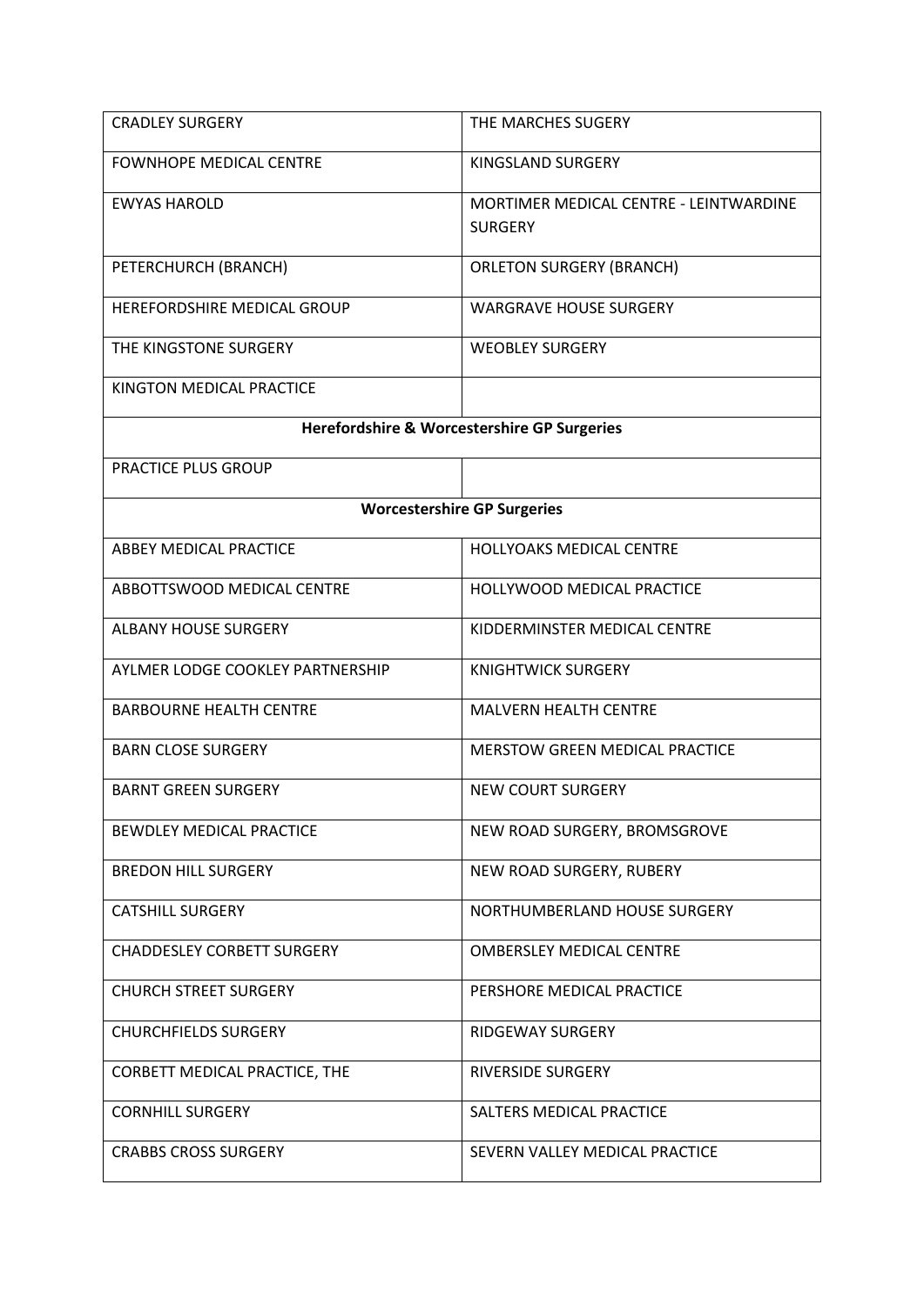| <b>CRADLEY SURGERY</b>            | THE MARCHES SUGERY                                       |
|-----------------------------------|----------------------------------------------------------|
| <b>FOWNHOPE MEDICAL CENTRE</b>    | KINGSLAND SURGERY                                        |
| <b>EWYAS HAROLD</b>               | MORTIMER MEDICAL CENTRE - LEINTWARDINE<br><b>SURGERY</b> |
| PETERCHURCH (BRANCH)              | <b>ORLETON SURGERY (BRANCH)</b>                          |
| HEREFORDSHIRE MEDICAL GROUP       | <b>WARGRAVE HOUSE SURGERY</b>                            |
| THE KINGSTONE SURGERY             | <b>WEOBLEY SURGERY</b>                                   |
| KINGTON MEDICAL PRACTICE          |                                                          |
|                                   | Herefordshire & Worcestershire GP Surgeries              |
| PRACTICE PLUS GROUP               |                                                          |
|                                   | <b>Worcestershire GP Surgeries</b>                       |
| <b>ABBEY MEDICAL PRACTICE</b>     | <b>HOLLYOAKS MEDICAL CENTRE</b>                          |
| ABBOTTSWOOD MEDICAL CENTRE        | <b>HOLLYWOOD MEDICAL PRACTICE</b>                        |
| <b>ALBANY HOUSE SURGERY</b>       | KIDDERMINSTER MEDICAL CENTRE                             |
| AYLMER LODGE COOKLEY PARTNERSHIP  | <b>KNIGHTWICK SURGERY</b>                                |
| <b>BARBOURNE HEALTH CENTRE</b>    | <b>MALVERN HEALTH CENTRE</b>                             |
| <b>BARN CLOSE SURGERY</b>         | <b>MERSTOW GREEN MEDICAL PRACTICE</b>                    |
| <b>BARNT GREEN SURGERY</b>        | <b>NEW COURT SURGERY</b>                                 |
| BEWDLEY MEDICAL PRACTICE          | NEW ROAD SURGERY, BROMSGROVE                             |
| <b>BREDON HILL SURGERY</b>        | NEW ROAD SURGERY, RUBERY                                 |
| <b>CATSHILL SURGERY</b>           | NORTHUMBERLAND HOUSE SURGERY                             |
| <b>CHADDESLEY CORBETT SURGERY</b> | <b>OMBERSLEY MEDICAL CENTRE</b>                          |
| <b>CHURCH STREET SURGERY</b>      | PERSHORE MEDICAL PRACTICE                                |
| <b>CHURCHFIELDS SURGERY</b>       | <b>RIDGEWAY SURGERY</b>                                  |
| CORBETT MEDICAL PRACTICE, THE     | <b>RIVERSIDE SURGERY</b>                                 |
| <b>CORNHILL SURGERY</b>           | SALTERS MEDICAL PRACTICE                                 |
| <b>CRABBS CROSS SURGERY</b>       | SEVERN VALLEY MEDICAL PRACTICE                           |